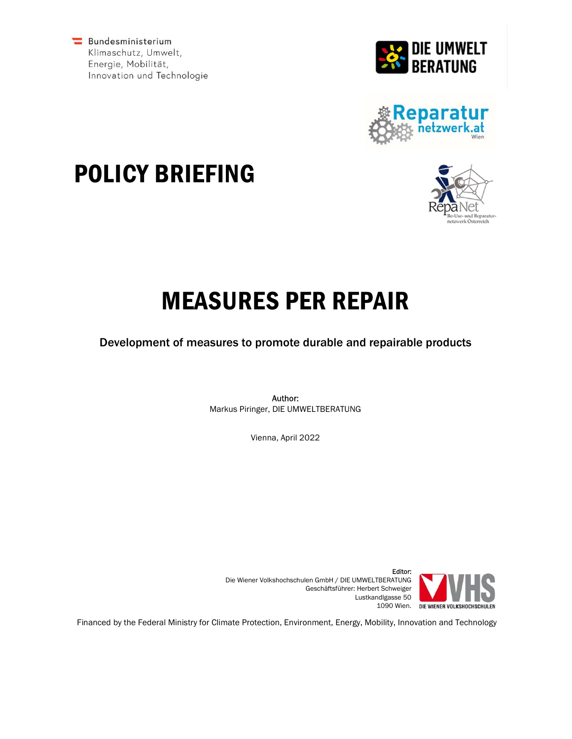Bundesministerium Klimaschutz, Umwelt, Energie, Mobilität, Innovation und Technologie









# MEASURES PER REPAIR

Development of measures to promote durable and repairable products

Author: Markus Piringer, DIE UMWELTBERATUNG

Vienna, April 2022



Editor: Die Wiener Volkshochschulen GmbH / DIE UMWELTBERATUNG Geschäftsführer: Herbert Schweiger Lustkandlgasse 50 1090 Wien.

Financed by the Federal Ministry for Climate Protection, Environment, Energy, Mobility, Innovation and Technology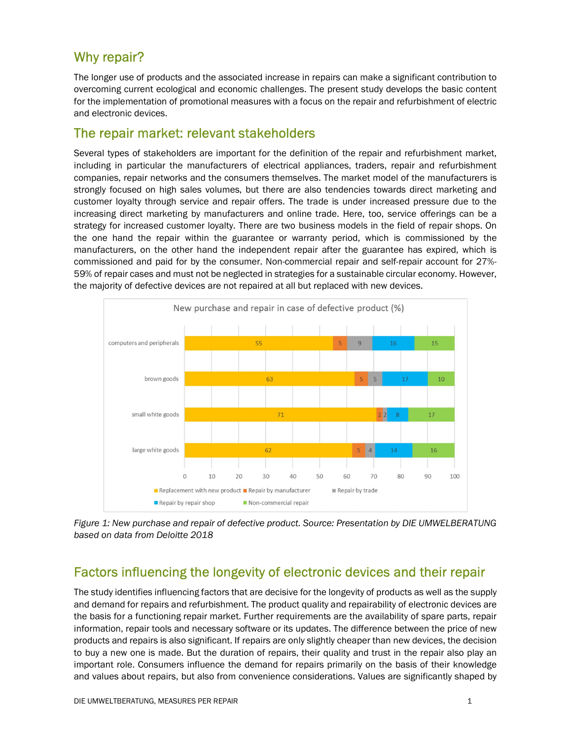## Why repair?

The longer use of products and the associated increase in repairs can make a significant contribution to overcoming current ecological and economic challenges. The present study develops the basic content for the implementation of promotional measures with a focus on the repair and refurbishment of electric and electronic devices.

#### The repair market: relevant stakeholders

Several types of stakeholders are important for the definition of the repair and refurbishment market, including in particular the manufacturers of electrical appliances, traders, repair and refurbishment companies, repair networks and the consumers themselves. The market model of the manufacturers is strongly focused on high sales volumes, but there are also tendencies towards direct marketing and customer loyalty through service and repair offers. The trade is under increased pressure due to the increasing direct marketing by manufacturers and online trade. Here, too, service offerings can be a strategy for increased customer loyalty. There are two business models in the field of repair shops. On the one hand the repair within the guarantee or warranty period, which is commissioned by the manufacturers, on the other hand the independent repair after the guarantee has expired, which is commissioned and paid for by the consumer. Non-commercial repair and self-repair account for 27%- 59% of repair cases and must not be neglected in strategies for a sustainable circular economy. However, the majority of defective devices are not repaired at all but replaced with new devices.



Figure 1: New purchase and repair of defective product. Source: Presentation by DIE UMWELBERATUNG based on data from Deloitte 2018

## Factors influencing the longevity of electronic devices and their repair

The study identifies influencing factors that are decisive for the longevity of products as well as the supply and demand for repairs and refurbishment. The product quality and repairability of electronic devices are the basis for a functioning repair market. Further requirements are the availability of spare parts, repair information, repair tools and necessary software or its updates. The difference between the price of new products and repairs is also significant. If repairs are only slightly cheaper than new devices, the decision to buy a new one is made. But the duration of repairs, their quality and trust in the repair also play an important role. Consumers influence the demand for repairs primarily on the basis of their knowledge and values about repairs, but also from convenience considerations. Values are significantly shaped by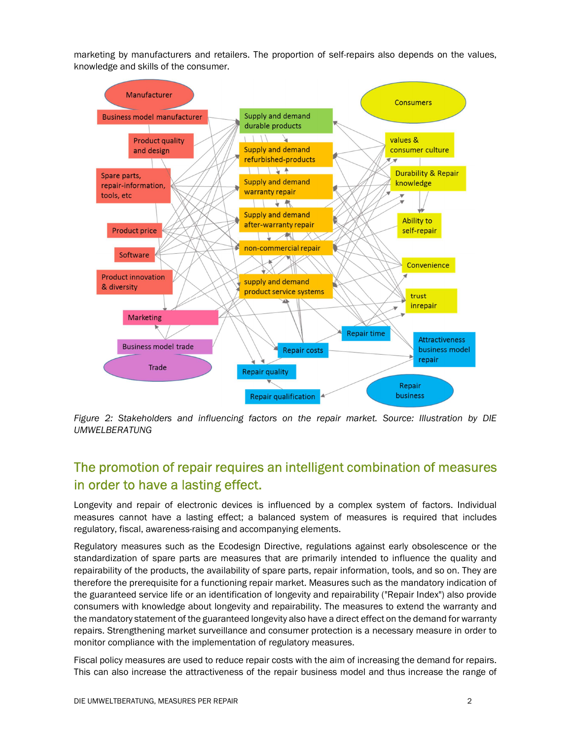marketing by manufacturers and retailers. The proportion of self-repairs also depends on the values, knowledge and skills of the consumer.



Figure 2: Stakeholders and influencing factors on the repair market. Source: Illustration by DIE UMWELBERATUNG

## The promotion of repair requires an intelligent combination of measures in order to have a lasting effect.

Longevity and repair of electronic devices is influenced by a complex system of factors. Individual measures cannot have a lasting effect; a balanced system of measures is required that includes regulatory, fiscal, awareness-raising and accompanying elements.

Regulatory measures such as the Ecodesign Directive, regulations against early obsolescence or the standardization of spare parts are measures that are primarily intended to influence the quality and repairability of the products, the availability of spare parts, repair information, tools, and so on. They are therefore the prerequisite for a functioning repair market. Measures such as the mandatory indication of the guaranteed service life or an identification of longevity and repairability ("Repair Index") also provide consumers with knowledge about longevity and repairability. The measures to extend the warranty and the mandatory statement of the guaranteed longevity also have a direct effect on the demand for warranty repairs. Strengthening market surveillance and consumer protection is a necessary measure in order to monitor compliance with the implementation of regulatory measures.

Fiscal policy measures are used to reduce repair costs with the aim of increasing the demand for repairs. This can also increase the attractiveness of the repair business model and thus increase the range of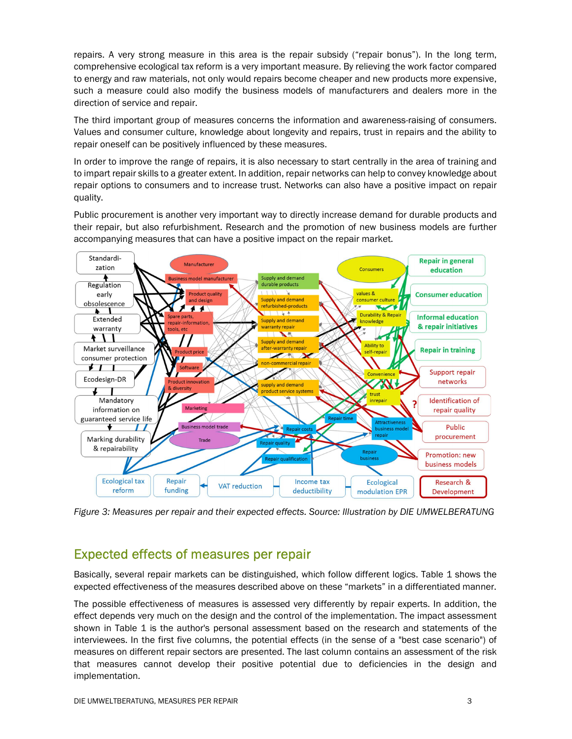repairs. A very strong measure in this area is the repair subsidy ("repair bonus"). In the long term, comprehensive ecological tax reform is a very important measure. By relieving the work factor compared to energy and raw materials, not only would repairs become cheaper and new products more expensive, such a measure could also modify the business models of manufacturers and dealers more in the direction of service and repair.

The third important group of measures concerns the information and awareness-raising of consumers. Values and consumer culture, knowledge about longevity and repairs, trust in repairs and the ability to repair oneself can be positively influenced by these measures.

In order to improve the range of repairs, it is also necessary to start centrally in the area of training and to impart repair skills to a greater extent. In addition, repair networks can help to convey knowledge about repair options to consumers and to increase trust. Networks can also have a positive impact on repair quality.

Public procurement is another very important way to directly increase demand for durable products and their repair, but also refurbishment. Research and the promotion of new business models are further accompanying measures that can have a positive impact on the repair market.



Figure 3: Measures per repair and their expected effects. Source: Illustration by DIE UMWELBERATUNG

#### Expected effects of measures per repair

Basically, several repair markets can be distinguished, which follow different logics. Table 1 shows the expected effectiveness of the measures described above on these "markets" in a differentiated manner.

The possible effectiveness of measures is assessed very differently by repair experts. In addition, the effect depends very much on the design and the control of the implementation. The impact assessment shown in Table 1 is the author's personal assessment based on the research and statements of the interviewees. In the first five columns, the potential effects (in the sense of a "best case scenario") of measures on different repair sectors are presented. The last column contains an assessment of the risk that measures cannot develop their positive potential due to deficiencies in the design and implementation.